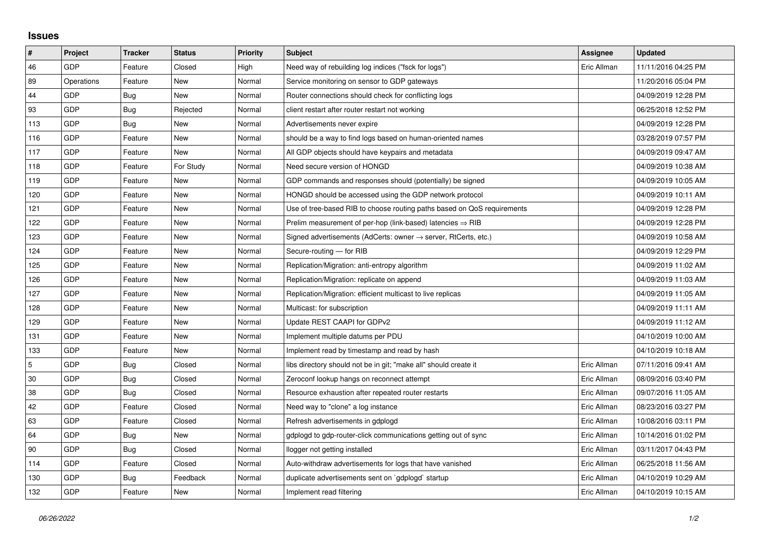## **Issues**

| $\vert$ #      | Project    | <b>Tracker</b> | <b>Status</b> | <b>Priority</b> | <b>Subject</b>                                                          | <b>Assignee</b> | <b>Updated</b>      |
|----------------|------------|----------------|---------------|-----------------|-------------------------------------------------------------------------|-----------------|---------------------|
| 46             | GDP        | Feature        | Closed        | High            | Need way of rebuilding log indices ("fsck for logs")                    | Eric Allman     | 11/11/2016 04:25 PM |
| 89             | Operations | Feature        | New           | Normal          | Service monitoring on sensor to GDP gateways                            |                 | 11/20/2016 05:04 PM |
| 44             | GDP        | Bug            | New           | Normal          | Router connections should check for conflicting logs                    |                 | 04/09/2019 12:28 PM |
| 93             | GDP        | Bug            | Rejected      | Normal          | client restart after router restart not working                         |                 | 06/25/2018 12:52 PM |
| 113            | GDP        | Bug            | <b>New</b>    | Normal          | Advertisements never expire                                             |                 | 04/09/2019 12:28 PM |
| 116            | GDP        | Feature        | New           | Normal          | should be a way to find logs based on human-oriented names              |                 | 03/28/2019 07:57 PM |
| 117            | GDP        | Feature        | <b>New</b>    | Normal          | All GDP objects should have keypairs and metadata                       |                 | 04/09/2019 09:47 AM |
| 118            | GDP        | Feature        | For Study     | Normal          | Need secure version of HONGD                                            |                 | 04/09/2019 10:38 AM |
| 119            | GDP        | Feature        | New           | Normal          | GDP commands and responses should (potentially) be signed               |                 | 04/09/2019 10:05 AM |
| 120            | GDP        | Feature        | <b>New</b>    | Normal          | HONGD should be accessed using the GDP network protocol                 |                 | 04/09/2019 10:11 AM |
| 121            | GDP        | Feature        | New           | Normal          | Use of tree-based RIB to choose routing paths based on QoS requirements |                 | 04/09/2019 12:28 PM |
| 122            | GDP        | Feature        | New           | Normal          | Prelim measurement of per-hop (link-based) latencies $\Rightarrow$ RIB  |                 | 04/09/2019 12:28 PM |
| 123            | GDP        | Feature        | <b>New</b>    | Normal          | Signed advertisements (AdCerts: owner → server, RtCerts, etc.)          |                 | 04/09/2019 10:58 AM |
| 124            | GDP        | Feature        | New           | Normal          | Secure-routing - for RIB                                                |                 | 04/09/2019 12:29 PM |
| 125            | GDP        | Feature        | New           | Normal          | Replication/Migration: anti-entropy algorithm                           |                 | 04/09/2019 11:02 AM |
| 126            | GDP        | Feature        | New           | Normal          | Replication/Migration: replicate on append                              |                 | 04/09/2019 11:03 AM |
| 127            | GDP        | Feature        | New           | Normal          | Replication/Migration: efficient multicast to live replicas             |                 | 04/09/2019 11:05 AM |
| 128            | GDP        | Feature        | New           | Normal          | Multicast: for subscription                                             |                 | 04/09/2019 11:11 AM |
| 129            | GDP        | Feature        | <b>New</b>    | Normal          | Update REST CAAPI for GDPv2                                             |                 | 04/09/2019 11:12 AM |
| 131            | GDP        | Feature        | New           | Normal          | Implement multiple datums per PDU                                       |                 | 04/10/2019 10:00 AM |
| 133            | GDP        | Feature        | New           | Normal          | Implement read by timestamp and read by hash                            |                 | 04/10/2019 10:18 AM |
| $\overline{5}$ | GDP        | Bug            | Closed        | Normal          | libs directory should not be in git; "make all" should create it        | Eric Allman     | 07/11/2016 09:41 AM |
| 30             | GDP        | Bug            | Closed        | Normal          | Zeroconf lookup hangs on reconnect attempt                              | Eric Allman     | 08/09/2016 03:40 PM |
| 38             | GDP        | Bug            | Closed        | Normal          | Resource exhaustion after repeated router restarts                      | Eric Allman     | 09/07/2016 11:05 AM |
| 42             | GDP        | Feature        | Closed        | Normal          | Need way to "clone" a log instance                                      | Eric Allman     | 08/23/2016 03:27 PM |
| 63             | GDP        | Feature        | Closed        | Normal          | Refresh advertisements in gdplogd                                       | Eric Allman     | 10/08/2016 03:11 PM |
| 64             | GDP        | <b>Bug</b>     | New           | Normal          | gdplogd to gdp-router-click communications getting out of sync          | Eric Allman     | 10/14/2016 01:02 PM |
| 90             | GDP        | Bug            | Closed        | Normal          | llogger not getting installed                                           | Eric Allman     | 03/11/2017 04:43 PM |
| 114            | GDP        | Feature        | Closed        | Normal          | Auto-withdraw advertisements for logs that have vanished                | Eric Allman     | 06/25/2018 11:56 AM |
| 130            | GDP        | Bug            | Feedback      | Normal          | duplicate advertisements sent on `gdplogd` startup                      | Eric Allman     | 04/10/2019 10:29 AM |
| 132            | GDP        | Feature        | New           | Normal          | Implement read filtering                                                | Eric Allman     | 04/10/2019 10:15 AM |